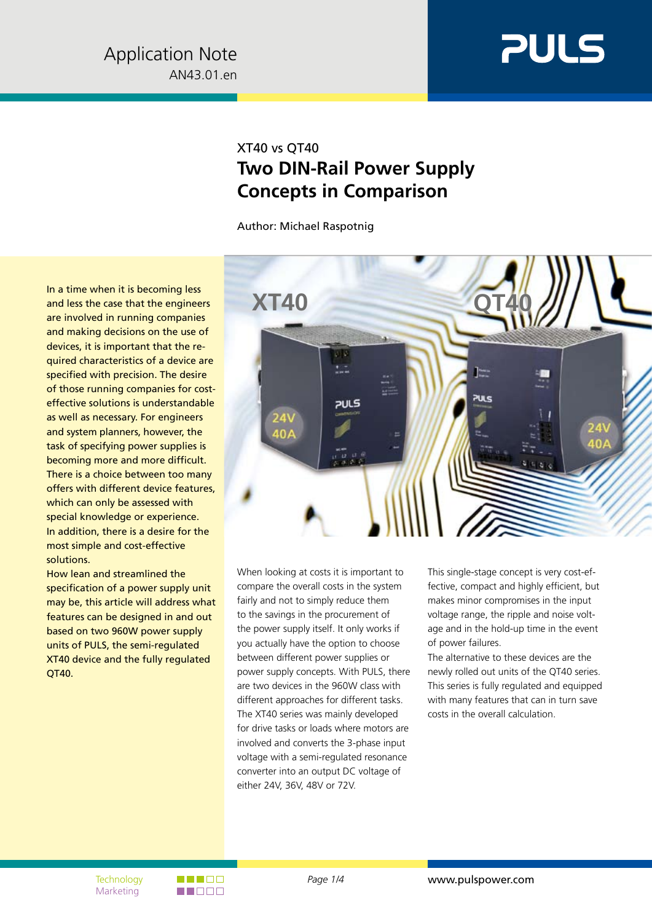

### XT40 vs QT40 **Two DIN-Rail Power Supply Concepts in Comparison**

Author: Michael Raspotnig

In a time when it is becoming less and less the case that the engineers are involved in running companies and making decisions on the use of devices, it is important that the required characteristics of a device are specified with precision. The desire of those running companies for costeffective solutions is understandable as well as necessary. For engineers and system planners, however, the task of specifying power supplies is becoming more and more difficult. There is a choice between too many offers with different device features, which can only be assessed with special knowledge or experience. In addition, there is a desire for the most simple and cost-effective solutions.

How lean and streamlined the specification of a power supply unit may be, this article will address what features can be designed in and out based on two 960W power supply units of PULS, the semi-regulated XT40 device and the fully regulated QT40.



When looking at costs it is important to compare the overall costs in the system fairly and not to simply reduce them to the savings in the procurement of the power supply itself. It only works if you actually have the option to choose between different power supplies or power supply concepts. With PULS, there are two devices in the 960W class with different approaches for different tasks. The XT40 series was mainly developed for drive tasks or loads where motors are involved and converts the 3-phase input voltage with a semi-regulated resonance converter into an output DC voltage of either 24V, 36V, 48V or 72V.

This single-stage concept is very cost-effective, compact and highly efficient, but makes minor compromises in the input voltage range, the ripple and noise voltage and in the hold-up time in the event of power failures.

The alternative to these devices are the newly rolled out units of the QT40 series. This series is fully regulated and equipped with many features that can in turn save costs in the overall calculation.

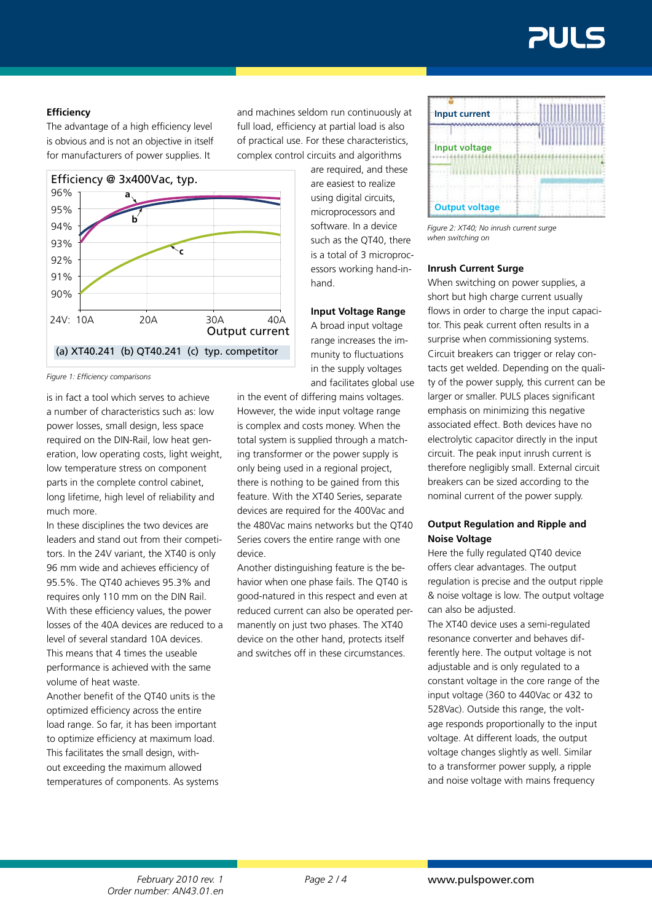#### **Efficiency**

The advantage of a high efficiency level is obvious and is not an objective in itself for manufacturers of power supplies. It



*Figure 1: Efficiency comparisons*

is in fact a tool which serves to achieve a number of characteristics such as: low power losses, small design, less space required on the DIN-Rail, low heat generation, low operating costs, light weight, low temperature stress on component parts in the complete control cabinet, long lifetime, high level of reliability and much more.

In these disciplines the two devices are leaders and stand out from their competitors. In the 24V variant, the XT40 is only 96 mm wide and achieves efficiency of 95.5%. The QT40 achieves 95.3% and requires only 110 mm on the DIN Rail. With these efficiency values, the power losses of the 40A devices are reduced to a level of several standard 10A devices. This means that 4 times the useable performance is achieved with the same volume of heat waste.

Another benefit of the QT40 units is the optimized efficiency across the entire load range. So far, it has been important to optimize efficiency at maximum load. This facilitates the small design, without exceeding the maximum allowed temperatures of components. As systems and machines seldom run continuously at full load, efficiency at partial load is also of practical use. For these characteristics, complex control circuits and algorithms

> are required, and these are easiest to realize using digital circuits, microprocessors and software. In a device such as the QT40, there is a total of 3 microprocessors working hand-inhand.

**Input Voltage Range** A broad input voltage range increases the immunity to fluctuations in the supply voltages and facilitates global use

in the event of differing mains voltages. However, the wide input voltage range is complex and costs money. When the total system is supplied through a matching transformer or the power supply is only being used in a regional project, there is nothing to be gained from this feature. With the XT40 Series, separate devices are required for the 400Vac and the 480Vac mains networks but the QT40 Series covers the entire range with one device.

Another distinguishing feature is the behavior when one phase fails. The QT40 is good-natured in this respect and even at reduced current can also be operated permanently on just two phases. The XT40 device on the other hand, protects itself and switches off in these circumstances.

| <b>Input current</b>  |  |  |  |
|-----------------------|--|--|--|
| <b>Input voltage</b>  |  |  |  |
|                       |  |  |  |
| <b>Output voltage</b> |  |  |  |

*Figure 2: XT40; No inrush current surge when switching on*

#### **Inrush Current Surge**

When switching on power supplies, a short but high charge current usually flows in order to charge the input capacitor. This peak current often results in a surprise when commissioning systems. Circuit breakers can trigger or relay contacts get welded. Depending on the quality of the power supply, this current can be larger or smaller. PULS places significant emphasis on minimizing this negative associated effect. Both devices have no electrolytic capacitor directly in the input circuit. The peak input inrush current is therefore negligibly small. External circuit breakers can be sized according to the nominal current of the power supply.

#### **Output Regulation and Ripple and Noise Voltage**

Here the fully regulated QT40 device offers clear advantages. The output regulation is precise and the output ripple & noise voltage is low. The output voltage can also be adjusted.

The XT40 device uses a semi-regulated resonance converter and behaves differently here. The output voltage is not adjustable and is only regulated to a constant voltage in the core range of the input voltage (360 to 440Vac or 432 to 528Vac). Outside this range, the voltage responds proportionally to the input voltage. At different loads, the output voltage changes slightly as well. Similar to a transformer power supply, a ripple and noise voltage with mains frequency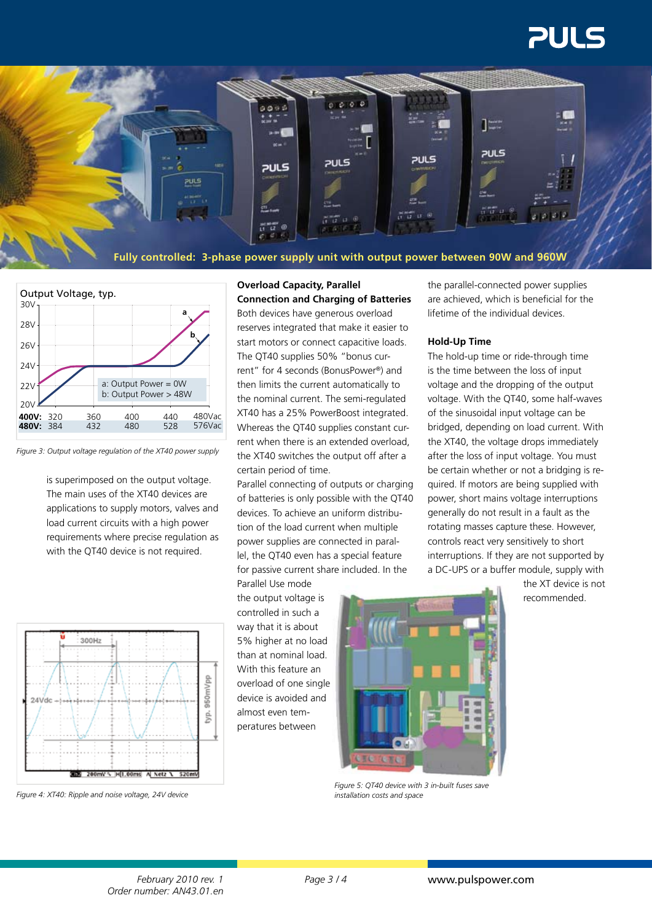# **PULS**



**Fully controlled: 3-phase power supply unit with output power between 90W and 960W**



*Figure 3: Output voltage regulation of the XT40 power supply*

is superimposed on the output voltage. The main uses of the XT40 devices are applications to supply motors, valves and load current circuits with a high power requirements where precise regulation as with the QT40 device is not required.



Both devices have generous overload reserves integrated that make it easier to start motors or connect capacitive loads. The QT40 supplies 50% "bonus current" for 4 seconds (BonusPower®) and then limits the current automatically to the nominal current. The semi-regulated XT40 has a 25% PowerBoost integrated. Whereas the QT40 supplies constant current when there is an extended overload, the XT40 switches the output off after a certain period of time.

Parallel connecting of outputs or charging of batteries is only possible with the QT40 devices. To achieve an uniform distribution of the load current when multiple power supplies are connected in parallel, the QT40 even has a special feature for passive current share included. In the

Parallel Use mode the output voltage is controlled in such a way that it is about 5% higher at no load than at nominal load. With this feature an overload of one single device is avoided and almost even temperatures between



*Figure 5: QT40 device with 3 in-built fuses save installation costs and space*

the parallel-connected power supplies are achieved, which is beneficial for the lifetime of the individual devices.

#### **Hold-Up Time**

The hold-up time or ride-through time is the time between the loss of input voltage and the dropping of the output voltage. With the QT40, some half-waves of the sinusoidal input voltage can be bridged, depending on load current. With the XT40, the voltage drops immediately after the loss of input voltage. You must be certain whether or not a bridging is required. If motors are being supplied with power, short mains voltage interruptions generally do not result in a fault as the rotating masses capture these. However, controls react very sensitively to short interruptions. If they are not supported by a DC-UPS or a buffer module, supply with

> the XT device is not recommended.



*Figure 4: XT40: Ripple and noise voltage, 24V device*